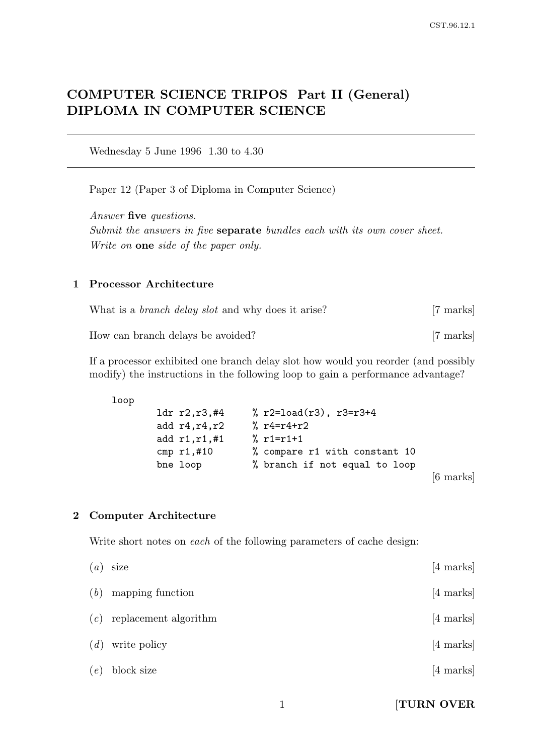# COMPUTER SCIENCE TRIPOS Part II (General) DIPLOMA IN COMPUTER SCIENCE

Wednesday 5 June 1996 1.30 to 4.30

Paper 12 (Paper 3 of Diploma in Computer Science)

Answer five questions. Submit the answers in five **separate** bundles each with its own cover sheet. Write on one side of the paper only.

## 1 Processor Architecture

| What is a <i>branch delay slot</i> and why does it arise? | [7 marks] |
|-----------------------------------------------------------|-----------|
| How can branch delays be avoided?                         | [7 marks] |

If a processor exhibited one branch delay slot how would you reorder (and possibly modify) the instructions in the following loop to gain a performance advantage?

loop

| 1dr r2,r3,#4     | % $r2 = load(r3)$ , $r3 = r3 + 4$ |                     |
|------------------|-----------------------------------|---------------------|
| add $r4, r4, r2$ | % $r4 = r4 + r2$                  |                     |
| add $r1, r1, #1$ | $% r1=r1+1$                       |                     |
| cmp $r1, #10$    | % compare r1 with constant 10     |                     |
| bne loop         | % branch if not equal to loop     |                     |
|                  |                                   | $[6 \text{ marks}]$ |

#### 2 Computer Architecture

Write short notes on each of the following parameters of cache design:

|     | $(a)$ size                  | $[4 \text{ marks}]$ |
|-----|-----------------------------|---------------------|
| (b) | mapping function            | $[4 \text{ marks}]$ |
|     | $(c)$ replacement algorithm | $[4 \text{ marks}]$ |
|     | $(d)$ write policy          | $[4 \text{ marks}]$ |
| (e) | block size                  | $[4 \text{ marks}]$ |

1 **[TURN OVER**]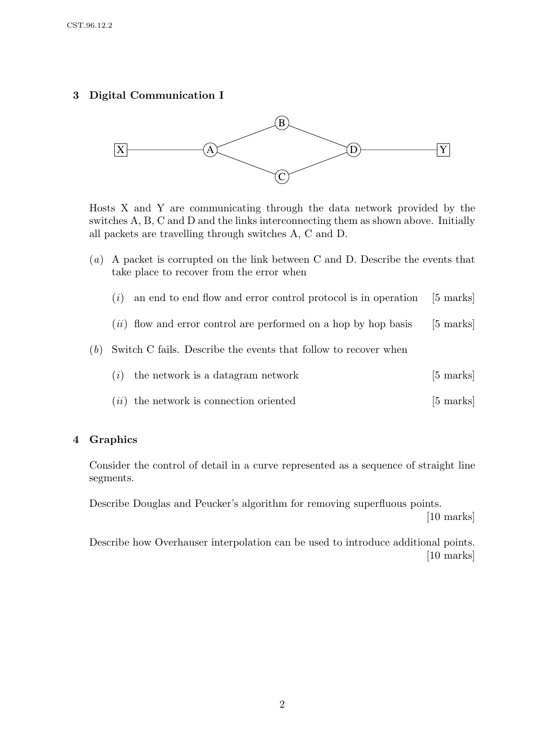# 3 Digital Communication I



Hosts X and Y are communicating through the data network provided by the switches A, B, C and D and the links interconnecting them as shown above. Initially all packets are travelling through switches A, C and D.

- (a) A packet is corrupted on the link between C and D. Describe the events that take place to recover from the error when
	- $(i)$  an end to end flow and error control protocol is in operation [5 marks]
	- $(ii)$  flow and error control are performed on a hop by hop basis [5 marks]
- (b) Switch C fails. Describe the events that follow to recover when

| $(i)$ the network is a datagram network | [5 marks] |  |
|-----------------------------------------|-----------|--|
|-----------------------------------------|-----------|--|

 $(ii)$  the network is connection oriented [5 marks]

## 4 Graphics

Consider the control of detail in a curve represented as a sequence of straight line segments.

Describe Douglas and Peucker's algorithm for removing superfluous points. [10 marks]

Describe how Overhauser interpolation can be used to introduce additional points. [10 marks]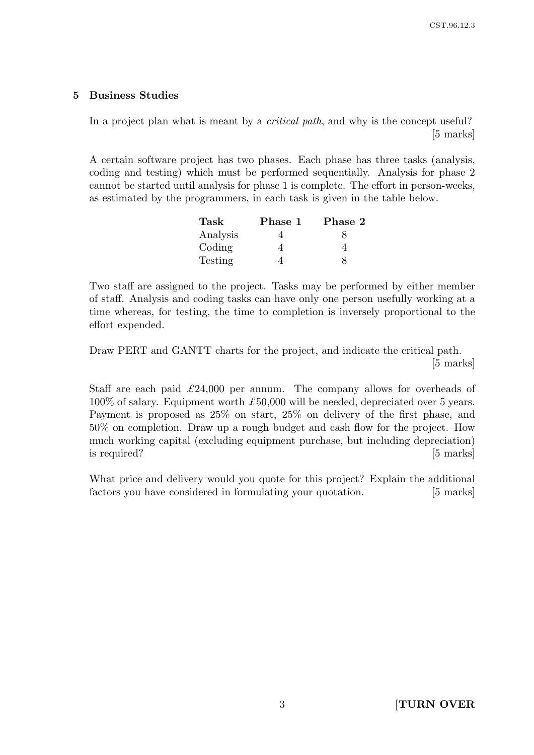#### 5 Business Studies

In a project plan what is meant by a *critical path*, and why is the concept useful? [5 marks]

A certain software project has two phases. Each phase has three tasks (analysis, coding and testing) which must be performed sequentially. Analysis for phase 2 cannot be started until analysis for phase 1 is complete. The effort in person-weeks, as estimated by the programmers, in each task is given in the table below.

| Task     | Phase 1 | Phase 2 |
|----------|---------|---------|
| Analysis |         |         |
| Coding   |         |         |
| Testing  |         |         |

Two staff are assigned to the project. Tasks may be performed by either member of staff. Analysis and coding tasks can have only one person usefully working at a time whereas, for testing, the time to completion is inversely proportional to the effort expended.

Draw PERT and GANTT charts for the project, and indicate the critical path. [5 marks]

Staff are each paid  $\pounds 24,000$  per annum. The company allows for overheads of  $100\%$  of salary. Equipment worth  $\pounds 50,000$  will be needed, depreciated over 5 years. Payment is proposed as 25% on start, 25% on delivery of the first phase, and 50% on completion. Draw up a rough budget and cash flow for the project. How much working capital (excluding equipment purchase, but including depreciation) is required? [5 marks]

What price and delivery would you quote for this project? Explain the additional factors you have considered in formulating your quotation. [5 marks]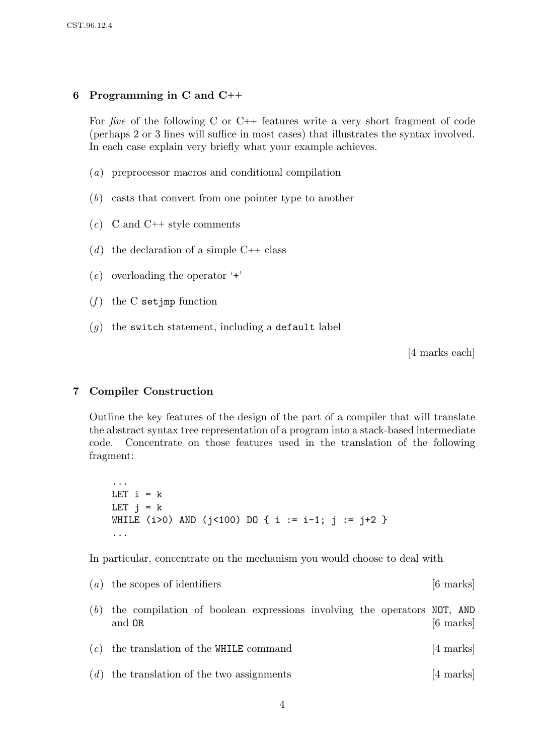# 6 Programming in C and C++

For five of the following C or C++ features write a very short fragment of code (perhaps 2 or 3 lines will suffice in most cases) that illustrates the syntax involved. In each case explain very briefly what your example achieves.

- (a) preprocessor macros and conditional compilation
- (b) casts that convert from one pointer type to another
- $(c)$  C and C++ style comments
- (d) the declaration of a simple  $C++$  class
- (e) overloading the operator '+'
- $(f)$  the C setjmp function
- $(g)$  the switch statement, including a default label

[4 marks each]

#### 7 Compiler Construction

Outline the key features of the design of the part of a compiler that will translate the abstract syntax tree representation of a program into a stack-based intermediate code. Concentrate on those features used in the translation of the following fragment:

... LET  $i = k$ LET  $i = k$ WHILE (i>0) AND (j<100) DO { i := i-1; j := j+2 } ...

In particular, concentrate on the mechanism you would choose to deal with

|     | $(a)$ the scopes of identifiers                                                   | $[6 \text{ marks}]$ |
|-----|-----------------------------------------------------------------------------------|---------------------|
| (b) | the compilation of boolean expressions involving the operators NOT, AND<br>and OR | $[6 \text{ marks}]$ |
|     | $(c)$ the translation of the WHILE command                                        | $[4 \text{ marks}]$ |
|     | $(d)$ the translation of the two assignments                                      | $[4 \text{ marks}]$ |
|     |                                                                                   |                     |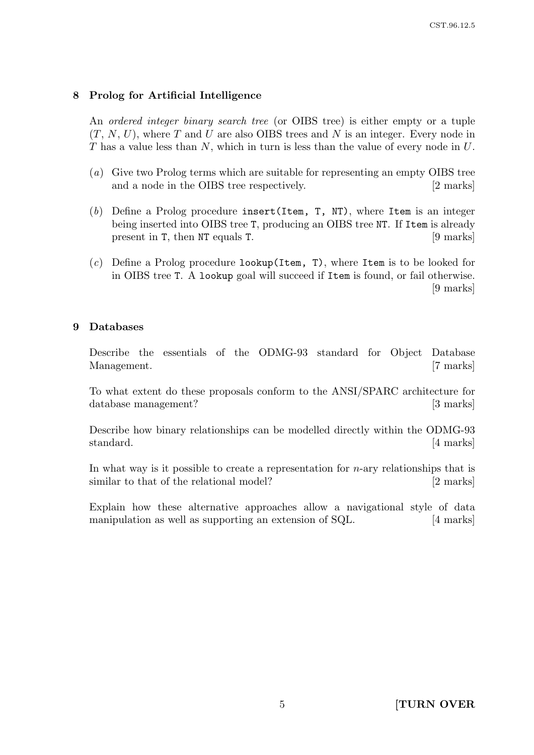#### 8 Prolog for Artificial Intelligence

An ordered integer binary search tree (or OIBS tree) is either empty or a tuple  $(T, N, U)$ , where T and U are also OIBS trees and N is an integer. Every node in T has a value less than N, which in turn is less than the value of every node in U.

- (a) Give two Prolog terms which are suitable for representing an empty OIBS tree and a node in the OIBS tree respectively. [2 marks]
- (b) Define a Prolog procedure insert (Item,  $T$ , NT), where Item is an integer being inserted into OIBS tree T, producing an OIBS tree NT. If Item is already present in T, then NT equals T. [9 marks]
- $(c)$  Define a Prolog procedure lookup(Item, T), where Item is to be looked for in OIBS tree T. A lookup goal will succeed if Item is found, or fail otherwise. [9 marks]

#### 9 Databases

Describe the essentials of the ODMG-93 standard for Object Database Management. [7 marks]

To what extent do these proposals conform to the ANSI/SPARC architecture for database management? [3 marks]

Describe how binary relationships can be modelled directly within the ODMG-93 standard. [4 marks]

In what way is it possible to create a representation for  $n$ -ary relationships that is similar to that of the relational model? [2 marks]

Explain how these alternative approaches allow a navigational style of data manipulation as well as supporting an extension of SQL. [4 marks]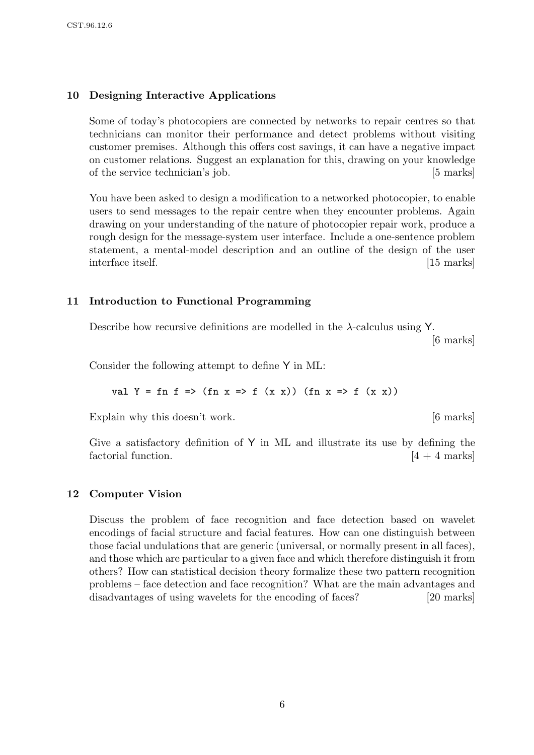# 10 Designing Interactive Applications

Some of today's photocopiers are connected by networks to repair centres so that technicians can monitor their performance and detect problems without visiting customer premises. Although this offers cost savings, it can have a negative impact on customer relations. Suggest an explanation for this, drawing on your knowledge of the service technician's job. [5 marks]

You have been asked to design a modification to a networked photocopier, to enable users to send messages to the repair centre when they encounter problems. Again drawing on your understanding of the nature of photocopier repair work, produce a rough design for the message-system user interface. Include a one-sentence problem statement, a mental-model description and an outline of the design of the user interface itself. [15 marks]

# 11 Introduction to Functional Programming

Describe how recursive definitions are modelled in the λ-calculus using Y.

[6 marks]

Consider the following attempt to define Y in ML:

val Y = fn f => (fn x => f (x x)) (fn x => f (x x))

Explain why this doesn't work. [6 marks]

Give a satisfactory definition of  $Y$  in ML and illustrate its use by defining the factorial function.  $[4 + 4 \text{ marks}]$ 

## 12 Computer Vision

Discuss the problem of face recognition and face detection based on wavelet encodings of facial structure and facial features. How can one distinguish between those facial undulations that are generic (universal, or normally present in all faces), and those which are particular to a given face and which therefore distinguish it from others? How can statistical decision theory formalize these two pattern recognition problems – face detection and face recognition? What are the main advantages and disadvantages of using wavelets for the encoding of faces? [20 marks]